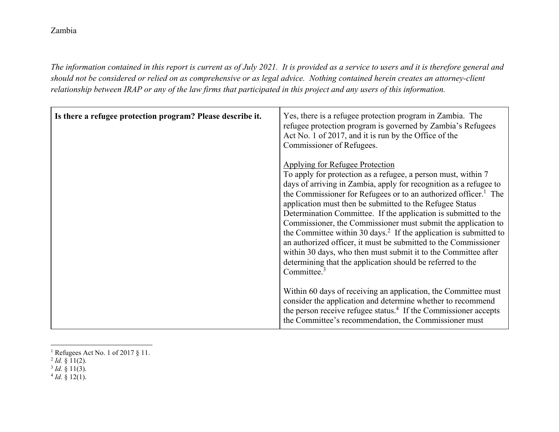## Zambia

*The information contained in this report is current as of July 2021. It is provided as a service to users and it is therefore general and should not be considered or relied on as comprehensive or as legal advice. Nothing contained herein creates an attorney-client relationship between IRAP or any of the law firms that participated in this project and any users of this information.* 

| Is there a refugee protection program? Please describe it. | Yes, there is a refugee protection program in Zambia. The<br>refugee protection program is governed by Zambia's Refugees<br>Act No. 1 of 2017, and it is run by the Office of the<br>Commissioner of Refugees.                                                                                                                                                                                                                                                                                                                                                                                                                                                                                                                                                    |
|------------------------------------------------------------|-------------------------------------------------------------------------------------------------------------------------------------------------------------------------------------------------------------------------------------------------------------------------------------------------------------------------------------------------------------------------------------------------------------------------------------------------------------------------------------------------------------------------------------------------------------------------------------------------------------------------------------------------------------------------------------------------------------------------------------------------------------------|
|                                                            | <b>Applying for Refugee Protection</b><br>To apply for protection as a refugee, a person must, within 7<br>days of arriving in Zambia, apply for recognition as a refugee to<br>the Commissioner for Refugees or to an authorized officer. <sup>1</sup> The<br>application must then be submitted to the Refugee Status<br>Determination Committee. If the application is submitted to the<br>Commissioner, the Commissioner must submit the application to<br>the Committee within 30 days. <sup>2</sup> If the application is submitted to<br>an authorized officer, it must be submitted to the Commissioner<br>within 30 days, who then must submit it to the Committee after<br>determining that the application should be referred to the<br>Committee. $3$ |
|                                                            | Within 60 days of receiving an application, the Committee must<br>consider the application and determine whether to recommend<br>the person receive refugee status. <sup>4</sup> If the Commissioner accepts<br>the Committee's recommendation, the Commissioner must                                                                                                                                                                                                                                                                                                                                                                                                                                                                                             |

<sup>&</sup>lt;sup>1</sup> Refugees Act No. 1 of 2017 § 11.

 $4$  *Id.* § 12(1).

<sup>&</sup>lt;sup>2</sup> *Id.* § 11(2).<br><sup>3</sup> *Id.* § 11(2).

 $\frac{3}{9}$  *Id.*  $\frac{8}{9}$  11(3).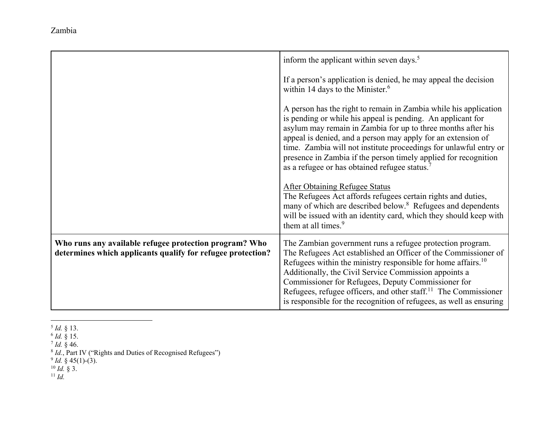Zambia

|                                                                                                                       | inform the applicant within seven days. <sup>5</sup>                                                                                                                                                                                                                                                                                                                                                                                                                                                                                                                                                                                                     |
|-----------------------------------------------------------------------------------------------------------------------|----------------------------------------------------------------------------------------------------------------------------------------------------------------------------------------------------------------------------------------------------------------------------------------------------------------------------------------------------------------------------------------------------------------------------------------------------------------------------------------------------------------------------------------------------------------------------------------------------------------------------------------------------------|
|                                                                                                                       | If a person's application is denied, he may appeal the decision<br>within 14 days to the Minister. $6$                                                                                                                                                                                                                                                                                                                                                                                                                                                                                                                                                   |
|                                                                                                                       | A person has the right to remain in Zambia while his application<br>is pending or while his appeal is pending. An applicant for<br>asylum may remain in Zambia for up to three months after his<br>appeal is denied, and a person may apply for an extension of<br>time. Zambia will not institute proceedings for unlawful entry or<br>presence in Zambia if the person timely applied for recognition<br>as a refugee or has obtained refugee status. <sup>7</sup><br><b>After Obtaining Refugee Status</b><br>The Refugees Act affords refugees certain rights and duties,<br>many of which are described below. <sup>8</sup> Refugees and dependents |
|                                                                                                                       | will be issued with an identity card, which they should keep with<br>them at all times. <sup>9</sup>                                                                                                                                                                                                                                                                                                                                                                                                                                                                                                                                                     |
| Who runs any available refugee protection program? Who<br>determines which applicants qualify for refugee protection? | The Zambian government runs a refugee protection program.<br>The Refugees Act established an Officer of the Commissioner of<br>Refugees within the ministry responsible for home affairs. <sup>10</sup><br>Additionally, the Civil Service Commission appoints a<br>Commissioner for Refugees, Deputy Commissioner for<br>Refugees, refugee officers, and other staff. <sup>11</sup> The Commissioner<br>is responsible for the recognition of refugees, as well as ensuring                                                                                                                                                                             |

- 5 *Id.* § 13. 6
- <sup>6</sup> *Id.* § 15.<br>7 *Id.* § 46.
- <sup>7</sup> Id. § 46.<br><sup>8 Id</sup>. Pert 1

*Id.*, Part IV ("Rights and Duties of Recognised Refugees")<br><sup>9</sup> *Id.* § 45(1)-(3).<br><sup>10</sup> *Id.* § 3.<br><sup>11</sup> *Id.* 

- 
-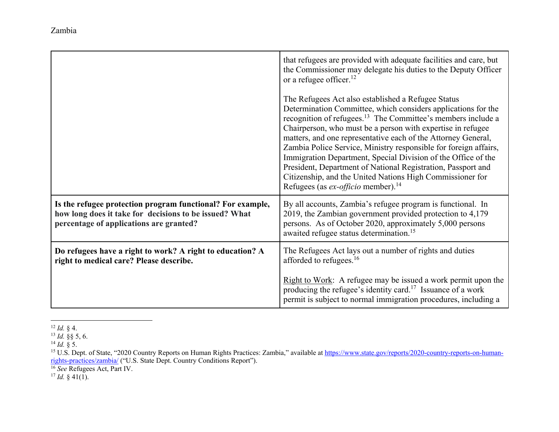that refugees are provided with adequate facilities and care, but the Commissioner may delegate his duties to the Deputy Officer or a refugee officer.<sup>12</sup> The Refugees Act also established a Refugee Status Determination Committee, which considers applications for the recognition of refugees.13 The Committee's members include a Chairperson, who must be a person with expertise in refugee matters, and one representative each of the Attorney General, Zambia Police Service, Ministry responsible for foreign affairs, Immigration Department, Special Division of the Office of the President, Department of National Registration, Passport and Citizenship, and the United Nations High Commissioner for Refugees (as *ex-officio* member).<sup>14</sup> **Is the refugee protection program functional? For example, how long does it take for decisions to be issued? What percentage of applications are granted?**  By all accounts, Zambia's refugee program is functional. In 2019, the Zambian government provided protection to 4,179 persons. As of October 2020, approximately 5,000 persons awaited refugee status determination.<sup>15</sup> **Do refugees have a right to work? A right to education? A right to medical care? Please describe.**  The Refugees Act lays out a number of rights and duties afforded to refugees.<sup>16</sup>

12 *Id.* § 4.

Right to Work: A refugee may be issued a work permit upon the producing the refugee's identity card.17 Issuance of a work permit is subject to normal immigration procedures, including a

16 *See* Refugees Act, Part IV.

 $^{17}$  *Id.* § 41(1).

<sup>13</sup> *Id.* §§ 5, 6.

<sup>14</sup> *Id.* § 5.

<sup>&</sup>lt;sup>15</sup> U.S. Dept. of State, "2020 Country Reports on Human Rights Practices: Zambia," available at https://www.state.gov/reports/2020-country-reports-on-humanrights-practices/zambia/ ("U.S. State Dept. Country Conditions Report").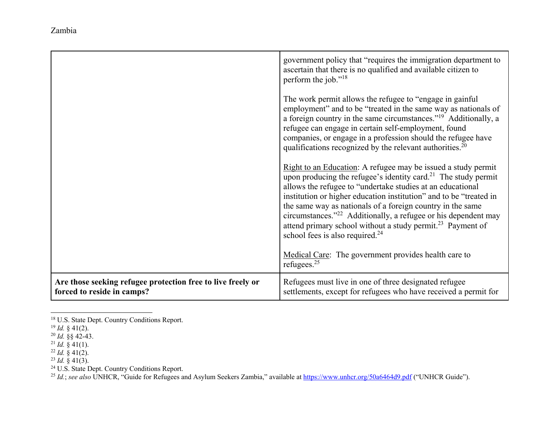|                                                                                           | government policy that "requires the immigration department to<br>ascertain that there is no qualified and available citizen to<br>perform the job." <sup>18</sup><br>The work permit allows the refugee to "engage in gainful"<br>employment" and to be "treated in the same way as nationals of<br>a foreign country in the same circumstances." <sup>19</sup> Additionally, a<br>refugee can engage in certain self-employment, found<br>companies, or engage in a profession should the refugee have<br>qualifications recognized by the relevant authorities. <sup>20</sup>                                         |
|-------------------------------------------------------------------------------------------|--------------------------------------------------------------------------------------------------------------------------------------------------------------------------------------------------------------------------------------------------------------------------------------------------------------------------------------------------------------------------------------------------------------------------------------------------------------------------------------------------------------------------------------------------------------------------------------------------------------------------|
|                                                                                           | Right to an Education: A refugee may be issued a study permit<br>upon producing the refugee's identity card. <sup>21</sup> The study permit<br>allows the refugee to "undertake studies at an educational<br>institution or higher education institution" and to be "treated in<br>the same way as nationals of a foreign country in the same<br>circumstances." <sup>22</sup> Additionally, a refugee or his dependent may<br>attend primary school without a study permit. <sup>23</sup> Payment of<br>school fees is also required. $^{24}$<br>Medical Care: The government provides health care to<br>refugees. $25$ |
| Are those seeking refugee protection free to live freely or<br>forced to reside in camps? | Refugees must live in one of three designated refugee<br>settlements, except for refugees who have received a permit for                                                                                                                                                                                                                                                                                                                                                                                                                                                                                                 |

<sup>18</sup> U.S. State Dept. Country Conditions Report.

<sup>19</sup> *Id.* § 41(2). 20 *Id.* §§ 42-43.

<sup>21</sup> *Id.* § 41(1). 22 *Id.* § 41(2). 23 *Id.* § 41(3).

<sup>&</sup>lt;sup>24</sup> U.S. State Dept. Country Conditions Report.<br><sup>25</sup> Id.; *see also* UNHCR, ''Guide for Refugees and Asylum Seekers Zambia,'' available at <u>https://www.unhcr.org/50a6464d9.pdf</u> (''UNHCR Guide'').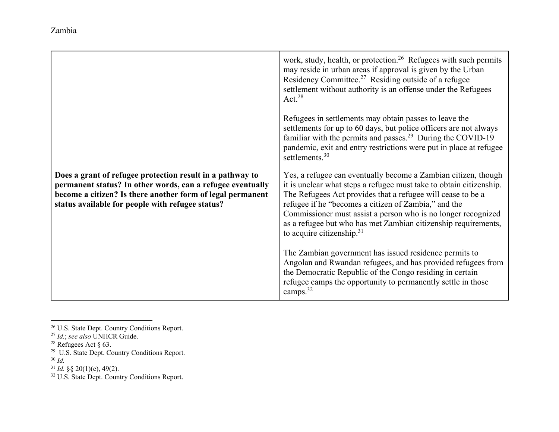|                                                                                                                                                                                                                                           | work, study, health, or protection. <sup>26</sup> Refugees with such permits<br>may reside in urban areas if approval is given by the Urban<br>Residency Committee. <sup>27</sup> Residing outside of a refugee<br>settlement without authority is an offense under the Refugees<br>Act. $28$                                                                                                                                   |
|-------------------------------------------------------------------------------------------------------------------------------------------------------------------------------------------------------------------------------------------|---------------------------------------------------------------------------------------------------------------------------------------------------------------------------------------------------------------------------------------------------------------------------------------------------------------------------------------------------------------------------------------------------------------------------------|
|                                                                                                                                                                                                                                           | Refugees in settlements may obtain passes to leave the<br>settlements for up to 60 days, but police officers are not always<br>familiar with the permits and passes. <sup>29</sup> During the COVID-19<br>pandemic, exit and entry restrictions were put in place at refugee<br>settlements. $30$                                                                                                                               |
| Does a grant of refugee protection result in a pathway to<br>permanent status? In other words, can a refugee eventually<br>become a citizen? Is there another form of legal permanent<br>status available for people with refugee status? | Yes, a refugee can eventually become a Zambian citizen, though<br>it is unclear what steps a refugee must take to obtain citizenship.<br>The Refugees Act provides that a refugee will cease to be a<br>refugee if he "becomes a citizen of Zambia," and the<br>Commissioner must assist a person who is no longer recognized<br>as a refugee but who has met Zambian citizenship requirements,<br>to acquire citizenship. $31$ |
|                                                                                                                                                                                                                                           | The Zambian government has issued residence permits to<br>Angolan and Rwandan refugees, and has provided refugees from<br>the Democratic Republic of the Congo residing in certain<br>refugee camps the opportunity to permanently settle in those<br>camps. $32$                                                                                                                                                               |

26 U.S. State Dept. Country Conditions Report. 27 *Id.*; *see also* UNHCR Guide.

28 Refugees Act § 63. 29 U.S. State Dept. Country Conditions Report. 30 *Id.* 

31 *Id.* §§ 20(1)(c), 49(2).

<sup>32</sup> U.S. State Dept. Country Conditions Report.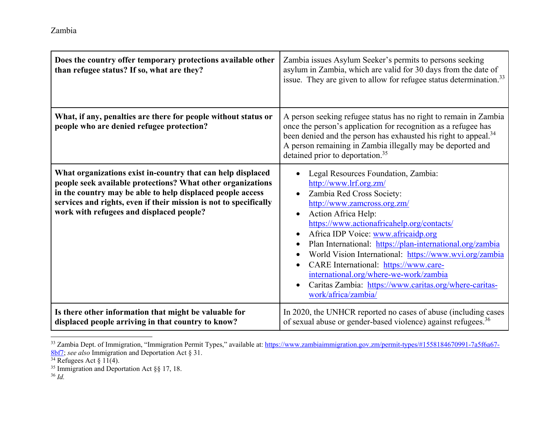| Does the country offer temporary protections available other<br>than refugee status? If so, what are they?                                                                                                                                                                                                | Zambia issues Asylum Seeker's permits to persons seeking<br>asylum in Zambia, which are valid for 30 days from the date of<br>issue. They are given to allow for refugee status determination. <sup>33</sup>                                                                                                                                                                                                                                                                                                                                  |
|-----------------------------------------------------------------------------------------------------------------------------------------------------------------------------------------------------------------------------------------------------------------------------------------------------------|-----------------------------------------------------------------------------------------------------------------------------------------------------------------------------------------------------------------------------------------------------------------------------------------------------------------------------------------------------------------------------------------------------------------------------------------------------------------------------------------------------------------------------------------------|
| What, if any, penalties are there for people without status or<br>people who are denied refugee protection?                                                                                                                                                                                               | A person seeking refugee status has no right to remain in Zambia<br>once the person's application for recognition as a refugee has<br>been denied and the person has exhausted his right to appeal. <sup>34</sup><br>A person remaining in Zambia illegally may be deported and<br>detained prior to deportation. <sup>35</sup>                                                                                                                                                                                                               |
| What organizations exist in-country that can help displaced<br>people seek available protections? What other organizations<br>in the country may be able to help displaced people access<br>services and rights, even if their mission is not to specifically<br>work with refugees and displaced people? | Legal Resources Foundation, Zambia:<br>http://www.lrf.org.zm/<br>Zambia Red Cross Society:<br>http://www.zamcross.org.zm/<br>Action Africa Help:<br>$\bullet$<br>https://www.actionafricahelp.org/contacts/<br>Africa IDP Voice: www.africaidp.org<br>Plan International: https://plan-international.org/zambia<br>World Vision International: https://www.wvi.org/zambia<br>CARE International: https://www.care-<br>international.org/where-we-work/zambia<br>Caritas Zambia: https://www.caritas.org/where-caritas-<br>work/africa/zambia/ |
| Is there other information that might be valuable for<br>displaced people arriving in that country to know?                                                                                                                                                                                               | In 2020, the UNHCR reported no cases of abuse (including cases<br>of sexual abuse or gender-based violence) against refugees. <sup>36</sup>                                                                                                                                                                                                                                                                                                                                                                                                   |

<sup>&</sup>lt;sup>33</sup> Zambia Dept. of Immigration, "Immigration Permit Types," available at: https://www.zambiaimmigration.gov.zm/permit-types/#1558184670991-7a5f6a67-8bf7; *see also* Immigration and Deportation Act § 31.

 $34$  Refugees Act § 11(4).

<sup>35</sup> Immigration and Deportation Act §§ 17, 18. 36 *Id.*